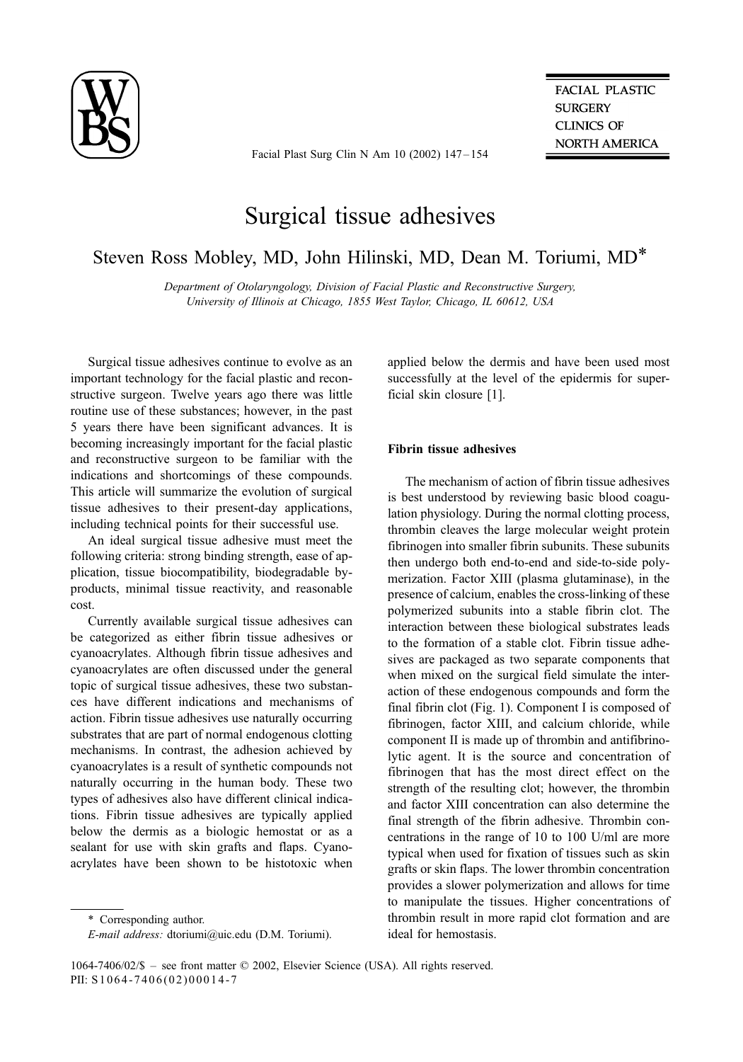

Facial Plast Surg Clin N Am 10 (2002) 147-154

**FACIAL PLASTIC SURGERY CLINICS OF NORTH AMERICA** 

# Surgical tissue adhesives

Steven Ross Mobley, MD, John Hilinski, MD, Dean M. Toriumi, MD\*

Department of Otolaryngology, Division of Facial Plastic and Reconstructive Surgery, University of Illinois at Chicago, 1855 West Taylor, Chicago, IL 60612, USA

Surgical tissue adhesives continue to evolve as an important technology for the facial plastic and reconstructive surgeon. Twelve years ago there was little routine use of these substances; however, in the past 5 years there have been significant advances. It is becoming increasingly important for the facial plastic and reconstructive surgeon to be familiar with the indications and shortcomings of these compounds. This article will summarize the evolution of surgical tissue adhesives to their present-day applications, including technical points for their successful use.

An ideal surgical tissue adhesive must meet the following criteria: strong binding strength, ease of application, tissue biocompatibility, biodegradable byproducts, minimal tissue reactivity, and reasonable cost.

Currently available surgical tissue adhesives can be categorized as either fibrin tissue adhesives or cyanoacrylates. Although fibrin tissue adhesives and cyanoacrylates are often discussed under the general topic of surgical tissue adhesives, these two substances have different indications and mechanisms of action. Fibrin tissue adhesives use naturally occurring substrates that are part of normal endogenous clotting mechanisms. In contrast, the adhesion achieved by cyanoacrylates is a result of synthetic compounds not naturally occurring in the human body. These two types of adhesives also have different clinical indications. Fibrin tissue adhesives are typically applied below the dermis as a biologic hemostat or as a sealant for use with skin grafts and flaps. Cyanoacrylates have been shown to be histotoxic when

E-mail address: dtoriumi@uic.edu (D.M. Toriumi).

applied below the dermis and have been used most successfully at the level of the epidermis for superficial skin closure [1].

### Fibrin tissue adhesives

The mechanism of action of fibrin tissue adhesives is best understood by reviewing basic blood coagulation physiology. During the normal clotting process, thrombin cleaves the large molecular weight protein fibrinogen into smaller fibrin subunits. These subunits then undergo both end-to-end and side-to-side polymerization. Factor XIII (plasma glutaminase), in the presence of calcium, enables the cross-linking of these polymerized subunits into a stable fibrin clot. The interaction between these biological substrates leads to the formation of a stable clot. Fibrin tissue adhesives are packaged as two separate components that when mixed on the surgical field simulate the interaction of these endogenous compounds and form the final fibrin clot (Fig. 1). Component I is composed of fibrinogen, factor XIII, and calcium chloride, while component II is made up of thrombin and antifibrinolytic agent. It is the source and concentration of fibrinogen that has the most direct effect on the strength of the resulting clot; however, the thrombin and factor XIII concentration can also determine the final strength of the fibrin adhesive. Thrombin concentrations in the range of 10 to 100 U/ml are more typical when used for fixation of tissues such as skin grafts or skin flaps. The lower thrombin concentration provides a slower polymerization and allows for time to manipulate the tissues. Higher concentrations of thrombin result in more rapid clot formation and are ideal for hemostasis.

<sup>\*</sup> Corresponding author.

<sup>1064-7406/02/\$ -</sup> see front matter © 2002, Elsevier Science (USA). All rights reserved. PII: S1064-7406(02)00014-7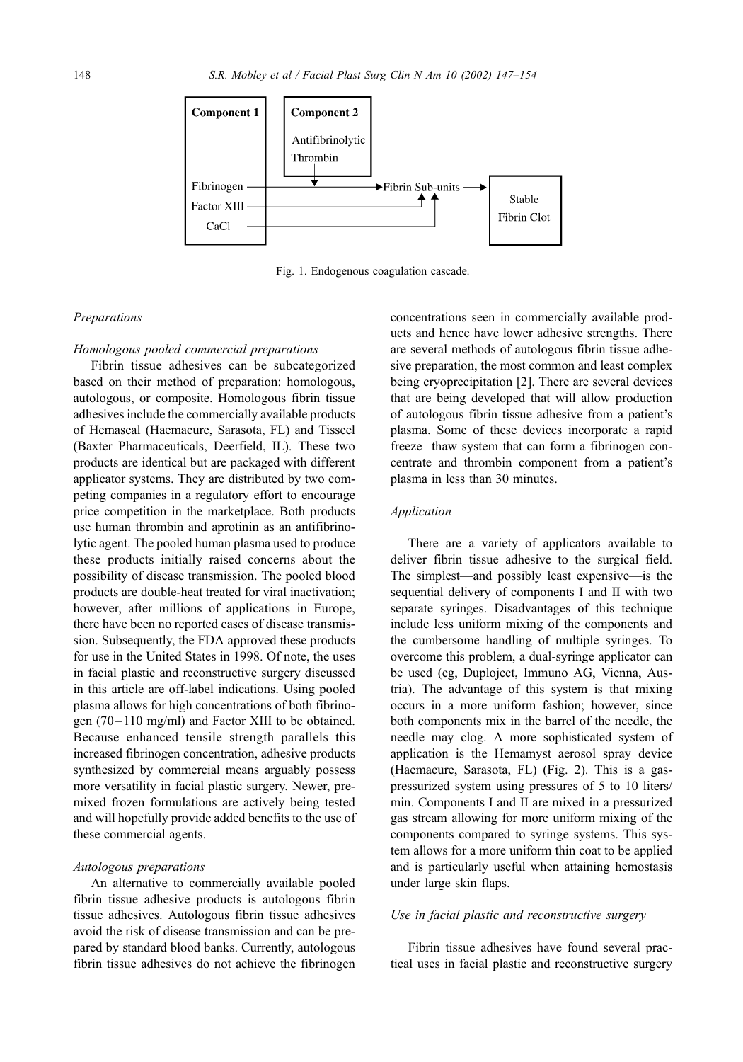

Fig. 1. Endogenous coagulation cascade.

### Preparations

#### Homologous pooled commercial preparations

Fibrin tissue adhesives can be subcategorized based on their method of preparation: homologous, autologous, or composite. Homologous fibrin tissue adhesives include the commercially available products of Hemaseal (Haemacure, Sarasota, FL) and Tisseel (Baxter Pharmaceuticals, Deerfield, IL). These two products are identical but are packaged with different applicator systems. They are distributed by two competing companies in a regulatory effort to encourage price competition in the marketplace. Both products use human thrombin and aprotinin as an antifibrinolytic agent. The pooled human plasma used to produce these products initially raised concerns about the possibility of disease transmission. The pooled blood products are double-heat treated for viral inactivation; however, after millions of applications in Europe, there have been no reported cases of disease transmission. Subsequently, the FDA approved these products for use in the United States in 1998. Of note, the uses in facial plastic and reconstructive surgery discussed in this article are off-label indications. Using pooled plasma allows for high concentrations of both fibrinogen  $(70-110 \text{ mg/ml})$  and Factor XIII to be obtained. Because enhanced tensile strength parallels this increased fibrinogen concentration, adhesive products synthesized by commercial means arguably possess more versatility in facial plastic surgery. Newer, premixed frozen formulations are actively being tested and will hopefully provide added benefits to the use of these commercial agents.

### Autologous preparations

An alternative to commercially available pooled fibrin tissue adhesive products is autologous fibrin tissue adhesives. Autologous fibrin tissue adhesives avoid the risk of disease transmission and can be prepared by standard blood banks. Currently, autologous fibrin tissue adhesives do not achieve the fibrinogen

concentrations seen in commercially available products and hence have lower adhesive strengths. There are several methods of autologous fibrin tissue adhesive preparation, the most common and least complex being cryoprecipitation [2]. There are several devices that are being developed that will allow production of autologous fibrin tissue adhesive from a patient's plasma. Some of these devices incorporate a rapid freeze-thaw system that can form a fibrinogen concentrate and thrombin component from a patient's plasma in less than 30 minutes.

### Application

There are a variety of applicators available to deliver fibrin tissue adhesive to the surgical field. The simplest—and possibly least expensive—is the sequential delivery of components I and II with two separate syringes. Disadvantages of this technique include less uniform mixing of the components and the cumbersome handling of multiple syringes. To overcome this problem, a dual-syringe applicator can be used (eg, Duploject, Immuno AG, Vienna, Austria). The advantage of this system is that mixing occurs in a more uniform fashion; however, since both components mix in the barrel of the needle, the needle may clog. A more sophisticated system of application is the Hemamyst aerosol spray device (Haemacure, Sarasota, FL) (Fig. 2). This is a gaspressurized system using pressures of 5 to 10 liters/ min. Components I and II are mixed in a pressurized gas stream allowing for more uniform mixing of the components compared to syringe systems. This system allows for a more uniform thin coat to be applied and is particularly useful when attaining hemostasis under large skin flaps.

### Use in facial plastic and reconstructive surgery

Fibrin tissue adhesives have found several practical uses in facial plastic and reconstructive surgery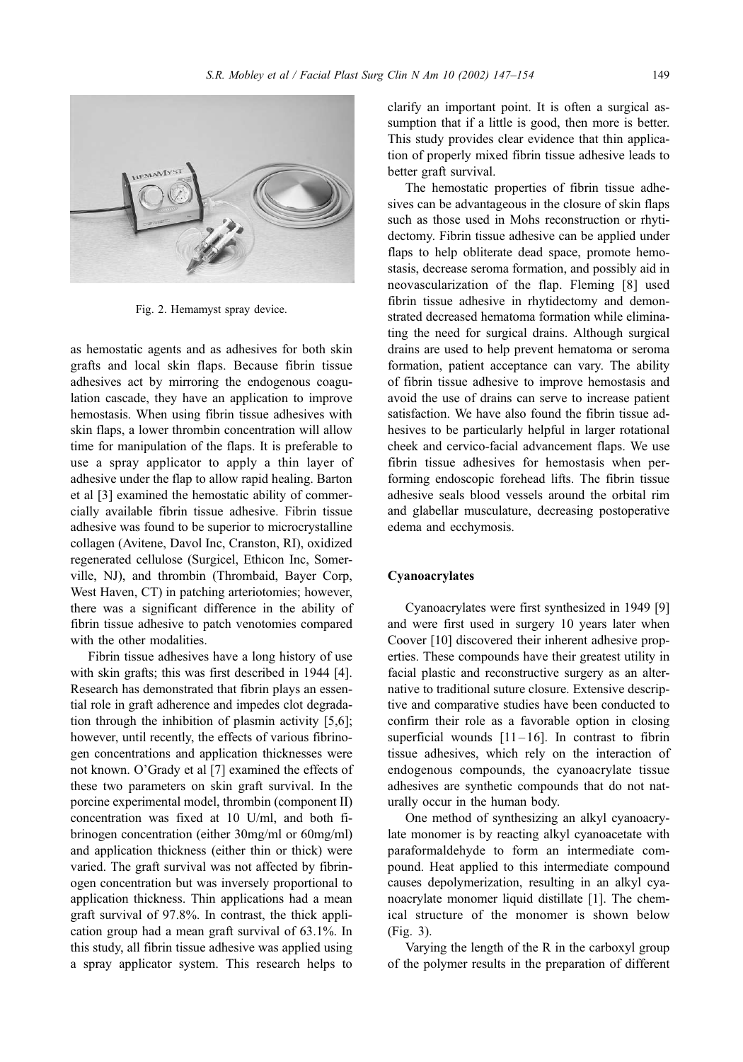

Fig. 2. Hemamyst spray device.

as hemostatic agents and as adhesives for both skin grafts and local skin flaps. Because fibrin tissue adhesives act by mirroring the endogenous coagulation cascade, they have an application to improve hemostasis. When using fibrin tissue adhesives with skin flaps, a lower thrombin concentration will allow time for manipulation of the flaps. It is preferable to use a spray applicator to apply a thin layer of adhesive under the flap to allow rapid healing. Barton et al [3] examined the hemostatic ability of commercially available fibrin tissue adhesive. Fibrin tissue adhesive was found to be superior to microcrystalline collagen (Avitene, Davol Inc, Cranston, RI), oxidized regenerated cellulose (Surgicel, Ethicon Inc, Somerville, NJ), and thrombin (Thrombaid, Bayer Corp, West Haven, CT) in patching arteriotomies; however, there was a significant difference in the ability of fibrin tissue adhesive to patch venotomies compared with the other modalities.

Fibrin tissue adhesives have a long history of use with skin grafts; this was first described in 1944 [4]. Research has demonstrated that fibrin plays an essential role in graft adherence and impedes clot degradation through the inhibition of plasmin activity [5,6]; however, until recently, the effects of various fibrinogen concentrations and application thicknesses were not known. O'Grady et al [7] examined the effects of these two parameters on skin graft survival. In the porcine experimental model, thrombin (component II) concentration was fixed at 10 U/ml, and both fibrinogen concentration (either 30mg/ml or 60mg/ml) and application thickness (either thin or thick) were varied. The graft survival was not affected by fibrinogen concentration but was inversely proportional to application thickness. Thin applications had a mean graft survival of 97.8%. In contrast, the thick application group had a mean graft survival of 63.1%. In this study, all fibrin tissue adhesive was applied using a spray applicator system. This research helps to clarify an important point. It is often a surgical assumption that if a little is good, then more is better. This study provides clear evidence that thin application of properly mixed fibrin tissue adhesive leads to better graft survival.

The hemostatic properties of fibrin tissue adhesives can be advantageous in the closure of skin flaps such as those used in Mohs reconstruction or rhytidectomy. Fibrin tissue adhesive can be applied under flaps to help obliterate dead space, promote hemostasis, decrease seroma formation, and possibly aid in neovascularization of the flap. Fleming [8] used fibrin tissue adhesive in rhytidectomy and demonstrated decreased hematoma formation while eliminating the need for surgical drains. Although surgical drains are used to help prevent hematoma or seroma formation, patient acceptance can vary. The ability of fibrin tissue adhesive to improve hemostasis and avoid the use of drains can serve to increase patient satisfaction. We have also found the fibrin tissue adhesives to be particularly helpful in larger rotational cheek and cervico-facial advancement flaps. We use fibrin tissue adhesives for hemostasis when performing endoscopic forehead lifts. The fibrin tissue adhesive seals blood vessels around the orbital rim and glabellar musculature, decreasing postoperative edema and ecchymosis.

# Cyanoacrylates

Cyanoacrylates were first synthesized in 1949 [9] and were first used in surgery 10 years later when Coover [10] discovered their inherent adhesive properties. These compounds have their greatest utility in facial plastic and reconstructive surgery as an alternative to traditional suture closure. Extensive descriptive and comparative studies have been conducted to confirm their role as a favorable option in closing superficial wounds  $[11 - 16]$ . In contrast to fibrin tissue adhesives, which rely on the interaction of endogenous compounds, the cyanoacrylate tissue adhesives are synthetic compounds that do not naturally occur in the human body.

One method of synthesizing an alkyl cyanoacrylate monomer is by reacting alkyl cyanoacetate with paraformaldehyde to form an intermediate compound. Heat applied to this intermediate compound causes depolymerization, resulting in an alkyl cyanoacrylate monomer liquid distillate [1]. The chemical structure of the monomer is shown below (Fig. 3).

Varying the length of the R in the carboxyl group of the polymer results in the preparation of different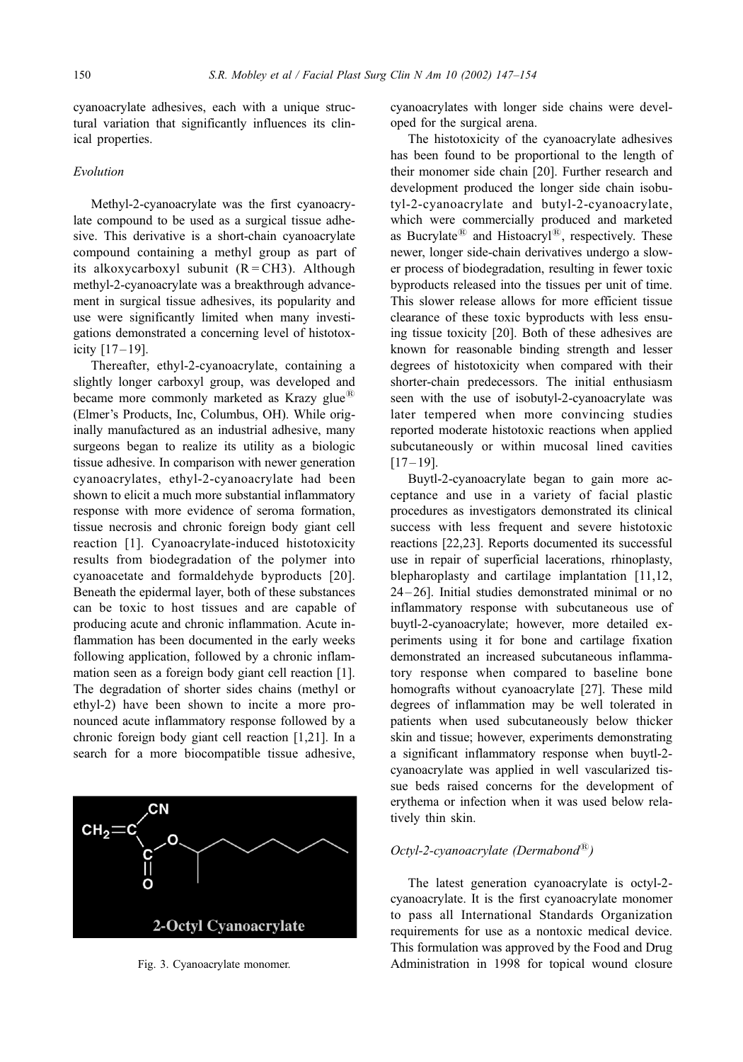cyanoacrylate adhesives, each with a unique structural variation that significantly influences its clinical properties.

# Evolution

Methyl-2-cyanoacrylate was the first cyanoacrylate compound to be used as a surgical tissue adhesive. This derivative is a short-chain cyanoacrylate compound containing a methyl group as part of its alkoxycarboxyl subunit  $(R = CH3)$ . Although methyl-2-cyanoacrylate was a breakthrough advancement in surgical tissue adhesives, its popularity and use were significantly limited when many investigations demonstrated a concerning level of histotoxicity  $[17 - 19]$ .

Thereafter, ethyl-2-cyanoacrylate, containing a slightly longer carboxyl group, was developed and became more commonly marketed as Krazy glue $^{(8)}$ (Elmer's Products, Inc, Columbus, OH). While originally manufactured as an industrial adhesive, many surgeons began to realize its utility as a biologic tissue adhesive. In comparison with newer generation cyanoacrylates, ethyl-2-cyanoacrylate had been shown to elicit a much more substantial inflammatory response with more evidence of seroma formation, tissue necrosis and chronic foreign body giant cell reaction [1]. Cyanoacrylate-induced histotoxicity results from biodegradation of the polymer into cyanoacetate and formaldehyde byproducts [20]. Beneath the epidermal layer, both of these substances can be toxic to host tissues and are capable of producing acute and chronic inflammation. Acute inflammation has been documented in the early weeks following application, followed by a chronic inflammation seen as a foreign body giant cell reaction [1]. The degradation of shorter sides chains (methyl or ethyl-2) have been shown to incite a more pronounced acute inflammatory response followed by a chronic foreign body giant cell reaction [1,21]. In a search for a more biocompatible tissue adhesive,



cyanoacrylates with longer side chains were developed for the surgical arena.

The histotoxicity of the cyanoacrylate adhesives has been found to be proportional to the length of their monomer side chain [20]. Further research and development produced the longer side chain isobutyl-2-cyanoacrylate and butyl-2-cyanoacrylate, which were commercially produced and marketed as Bucrylate<sup>®</sup> and Histoacryl<sup>®</sup>, respectively. These newer, longer side-chain derivatives undergo a slower process of biodegradation, resulting in fewer toxic byproducts released into the tissues per unit of time. This slower release allows for more efficient tissue clearance of these toxic byproducts with less ensuing tissue toxicity [20]. Both of these adhesives are known for reasonable binding strength and lesser degrees of histotoxicity when compared with their shorter-chain predecessors. The initial enthusiasm seen with the use of isobutyl-2-cyanoacrylate was later tempered when more convincing studies reported moderate histotoxic reactions when applied subcutaneously or within mucosal lined cavities  $[17 - 19]$ .

Buytl-2-cyanoacrylate began to gain more acceptance and use in a variety of facial plastic procedures as investigators demonstrated its clinical success with less frequent and severe histotoxic reactions [22,23]. Reports documented its successful use in repair of superficial lacerations, rhinoplasty, blepharoplasty and cartilage implantation [11,12, 24 – 26]. Initial studies demonstrated minimal or no inflammatory response with subcutaneous use of buytl-2-cyanoacrylate; however, more detailed experiments using it for bone and cartilage fixation demonstrated an increased subcutaneous inflammatory response when compared to baseline bone homografts without cyanoacrylate [27]. These mild degrees of inflammation may be well tolerated in patients when used subcutaneously below thicker skin and tissue; however, experiments demonstrating a significant inflammatory response when buytl-2 cyanoacrylate was applied in well vascularized tissue beds raised concerns for the development of erythema or infection when it was used below relatively thin skin.

# Octyl-2-cyanoacrylate (Dermabond $^{(8)}$ )

The latest generation cyanoacrylate is octyl-2 cyanoacrylate. It is the first cyanoacrylate monomer to pass all International Standards Organization requirements for use as a nontoxic medical device. This formulation was approved by the Food and Drug Fig. 3. Cyanoacrylate monomer. Administration in 1998 for topical wound closure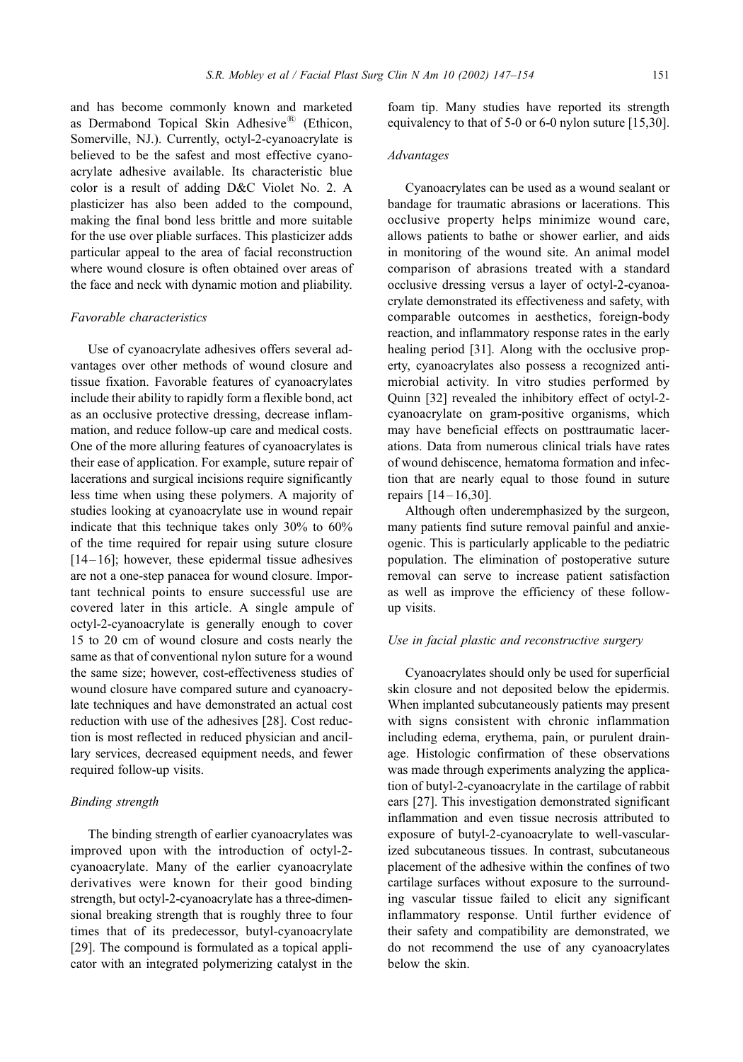and has become commonly known and marketed as Dermabond Topical Skin Adhesive<sup>®</sup> (Ethicon, Somerville, NJ.). Currently, octyl-2-cyanoacrylate is believed to be the safest and most effective cyanoacrylate adhesive available. Its characteristic blue color is a result of adding D&C Violet No. 2. A plasticizer has also been added to the compound, making the final bond less brittle and more suitable for the use over pliable surfaces. This plasticizer adds particular appeal to the area of facial reconstruction where wound closure is often obtained over areas of the face and neck with dynamic motion and pliability.

### Favorable characteristics

Use of cyanoacrylate adhesives offers several advantages over other methods of wound closure and tissue fixation. Favorable features of cyanoacrylates include their ability to rapidly form a flexible bond, act as an occlusive protective dressing, decrease inflammation, and reduce follow-up care and medical costs. One of the more alluring features of cyanoacrylates is their ease of application. For example, suture repair of lacerations and surgical incisions require significantly less time when using these polymers. A majority of studies looking at cyanoacrylate use in wound repair indicate that this technique takes only 30% to 60% of the time required for repair using suture closure  $[14 - 16]$ ; however, these epidermal tissue adhesives are not a one-step panacea for wound closure. Important technical points to ensure successful use are covered later in this article. A single ampule of octyl-2-cyanoacrylate is generally enough to cover 15 to 20 cm of wound closure and costs nearly the same as that of conventional nylon suture for a wound the same size; however, cost-effectiveness studies of wound closure have compared suture and cyanoacrylate techniques and have demonstrated an actual cost reduction with use of the adhesives [28]. Cost reduction is most reflected in reduced physician and ancillary services, decreased equipment needs, and fewer required follow-up visits.

## Binding strength

The binding strength of earlier cyanoacrylates was improved upon with the introduction of octyl-2 cyanoacrylate. Many of the earlier cyanoacrylate derivatives were known for their good binding strength, but octyl-2-cyanoacrylate has a three-dimensional breaking strength that is roughly three to four times that of its predecessor, butyl-cyanoacrylate [29]. The compound is formulated as a topical applicator with an integrated polymerizing catalyst in the foam tip. Many studies have reported its strength equivalency to that of 5-0 or 6-0 nylon suture [15,30].

### Advantages

Cyanoacrylates can be used as a wound sealant or bandage for traumatic abrasions or lacerations. This occlusive property helps minimize wound care, allows patients to bathe or shower earlier, and aids in monitoring of the wound site. An animal model comparison of abrasions treated with a standard occlusive dressing versus a layer of octyl-2-cyanoacrylate demonstrated its effectiveness and safety, with comparable outcomes in aesthetics, foreign-body reaction, and inflammatory response rates in the early healing period [31]. Along with the occlusive property, cyanoacrylates also possess a recognized antimicrobial activity. In vitro studies performed by Quinn [32] revealed the inhibitory effect of octyl-2 cyanoacrylate on gram-positive organisms, which may have beneficial effects on posttraumatic lacerations. Data from numerous clinical trials have rates of wound dehiscence, hematoma formation and infection that are nearly equal to those found in suture repairs [14 – 16,30].

Although often underemphasized by the surgeon, many patients find suture removal painful and anxieogenic. This is particularly applicable to the pediatric population. The elimination of postoperative suture removal can serve to increase patient satisfaction as well as improve the efficiency of these followup visits.

# Use in facial plastic and reconstructive surgery

Cyanoacrylates should only be used for superficial skin closure and not deposited below the epidermis. When implanted subcutaneously patients may present with signs consistent with chronic inflammation including edema, erythema, pain, or purulent drainage. Histologic confirmation of these observations was made through experiments analyzing the application of butyl-2-cyanoacrylate in the cartilage of rabbit ears [27]. This investigation demonstrated significant inflammation and even tissue necrosis attributed to exposure of butyl-2-cyanoacrylate to well-vascularized subcutaneous tissues. In contrast, subcutaneous placement of the adhesive within the confines of two cartilage surfaces without exposure to the surrounding vascular tissue failed to elicit any significant inflammatory response. Until further evidence of their safety and compatibility are demonstrated, we do not recommend the use of any cyanoacrylates below the skin.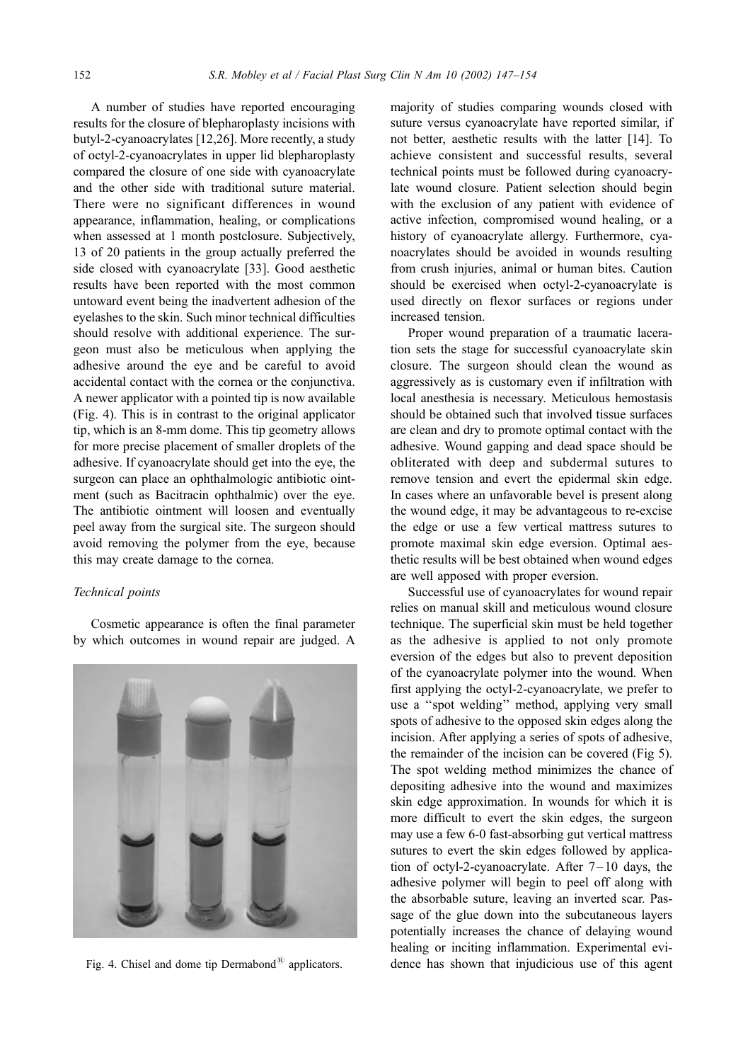A number of studies have reported encouraging results for the closure of blepharoplasty incisions with butyl-2-cyanoacrylates [12,26]. More recently, a study of octyl-2-cyanoacrylates in upper lid blepharoplasty compared the closure of one side with cyanoacrylate and the other side with traditional suture material. There were no significant differences in wound appearance, inflammation, healing, or complications when assessed at 1 month postclosure. Subjectively, 13 of 20 patients in the group actually preferred the side closed with cyanoacrylate [33]. Good aesthetic results have been reported with the most common untoward event being the inadvertent adhesion of the eyelashes to the skin. Such minor technical difficulties should resolve with additional experience. The surgeon must also be meticulous when applying the adhesive around the eye and be careful to avoid accidental contact with the cornea or the conjunctiva. A newer applicator with a pointed tip is now available (Fig. 4). This is in contrast to the original applicator tip, which is an 8-mm dome. This tip geometry allows for more precise placement of smaller droplets of the adhesive. If cyanoacrylate should get into the eye, the surgeon can place an ophthalmologic antibiotic ointment (such as Bacitracin ophthalmic) over the eye. The antibiotic ointment will loosen and eventually peel away from the surgical site. The surgeon should avoid removing the polymer from the eye, because this may create damage to the cornea.

### Technical points

Cosmetic appearance is often the final parameter by which outcomes in wound repair are judged. A



majority of studies comparing wounds closed with suture versus cyanoacrylate have reported similar, if not better, aesthetic results with the latter [14]. To achieve consistent and successful results, several technical points must be followed during cyanoacrylate wound closure. Patient selection should begin with the exclusion of any patient with evidence of active infection, compromised wound healing, or a history of cyanoacrylate allergy. Furthermore, cyanoacrylates should be avoided in wounds resulting from crush injuries, animal or human bites. Caution should be exercised when octyl-2-cyanoacrylate is used directly on flexor surfaces or regions under increased tension.

Proper wound preparation of a traumatic laceration sets the stage for successful cyanoacrylate skin closure. The surgeon should clean the wound as aggressively as is customary even if infiltration with local anesthesia is necessary. Meticulous hemostasis should be obtained such that involved tissue surfaces are clean and dry to promote optimal contact with the adhesive. Wound gapping and dead space should be obliterated with deep and subdermal sutures to remove tension and evert the epidermal skin edge. In cases where an unfavorable bevel is present along the wound edge, it may be advantageous to re-excise the edge or use a few vertical mattress sutures to promote maximal skin edge eversion. Optimal aesthetic results will be best obtained when wound edges are well apposed with proper eversion.

Successful use of cyanoacrylates for wound repair relies on manual skill and meticulous wound closure technique. The superficial skin must be held together as the adhesive is applied to not only promote eversion of the edges but also to prevent deposition of the cyanoacrylate polymer into the wound. When first applying the octyl-2-cyanoacrylate, we prefer to use a ''spot welding'' method, applying very small spots of adhesive to the opposed skin edges along the incision. After applying a series of spots of adhesive, the remainder of the incision can be covered (Fig 5). The spot welding method minimizes the chance of depositing adhesive into the wound and maximizes skin edge approximation. In wounds for which it is more difficult to evert the skin edges, the surgeon may use a few 6-0 fast-absorbing gut vertical mattress sutures to evert the skin edges followed by application of octyl-2-cyanoacrylate. After  $7-10$  days, the adhesive polymer will begin to peel off along with the absorbable suture, leaving an inverted scar. Passage of the glue down into the subcutaneous layers potentially increases the chance of delaying wound healing or inciting inflammation. Experimental evi-Fig. 4. Chisel and dome tip Dermabond  $\mathbb{R}^n$  applicators. dence has shown that injudicious use of this agent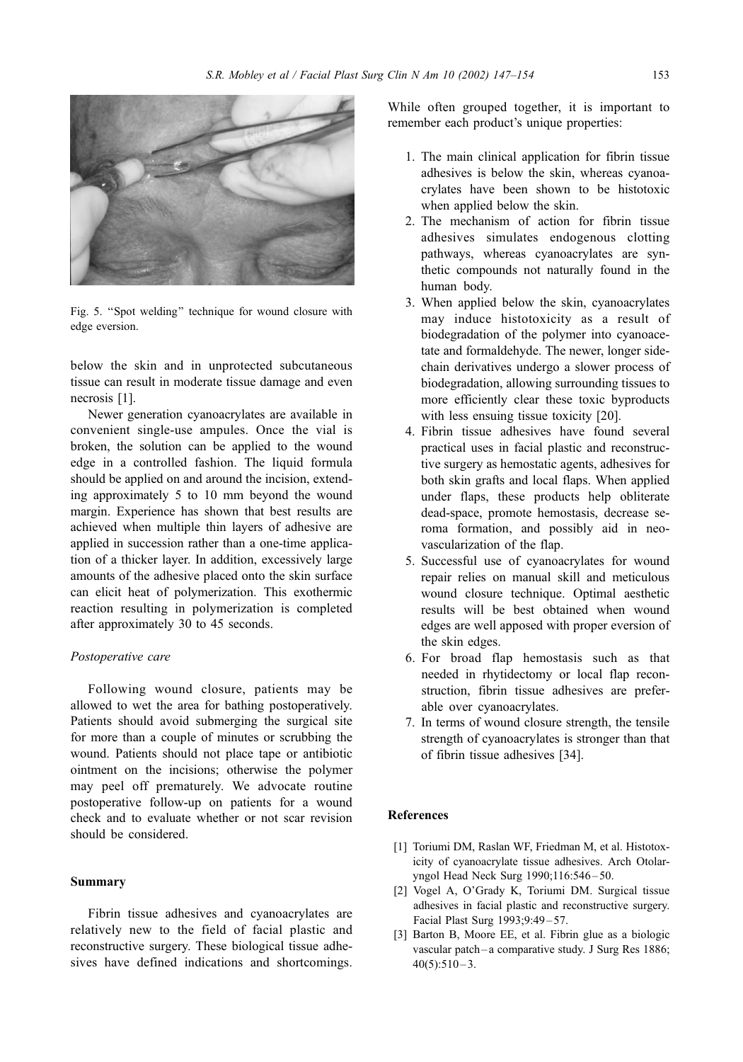

Fig. 5. ''Spot welding'' technique for wound closure with edge eversion.

below the skin and in unprotected subcutaneous tissue can result in moderate tissue damage and even necrosis [1].

Newer generation cyanoacrylates are available in convenient single-use ampules. Once the vial is broken, the solution can be applied to the wound edge in a controlled fashion. The liquid formula should be applied on and around the incision, extending approximately 5 to 10 mm beyond the wound margin. Experience has shown that best results are achieved when multiple thin layers of adhesive are applied in succession rather than a one-time application of a thicker layer. In addition, excessively large amounts of the adhesive placed onto the skin surface can elicit heat of polymerization. This exothermic reaction resulting in polymerization is completed after approximately 30 to 45 seconds.

# Postoperative care

Following wound closure, patients may be allowed to wet the area for bathing postoperatively. Patients should avoid submerging the surgical site for more than a couple of minutes or scrubbing the wound. Patients should not place tape or antibiotic ointment on the incisions; otherwise the polymer may peel off prematurely. We advocate routine postoperative follow-up on patients for a wound check and to evaluate whether or not scar revision should be considered.

# Summary

Fibrin tissue adhesives and cyanoacrylates are relatively new to the field of facial plastic and reconstructive surgery. These biological tissue adhesives have defined indications and shortcomings.

While often grouped together, it is important to remember each product's unique properties:

- 1. The main clinical application for fibrin tissue adhesives is below the skin, whereas cyanoacrylates have been shown to be histotoxic when applied below the skin.
- 2. The mechanism of action for fibrin tissue adhesives simulates endogenous clotting pathways, whereas cyanoacrylates are synthetic compounds not naturally found in the human body.
- 3. When applied below the skin, cyanoacrylates may induce histotoxicity as a result of biodegradation of the polymer into cyanoacetate and formaldehyde. The newer, longer sidechain derivatives undergo a slower process of biodegradation, allowing surrounding tissues to more efficiently clear these toxic byproducts with less ensuing tissue toxicity [20].
- 4. Fibrin tissue adhesives have found several practical uses in facial plastic and reconstructive surgery as hemostatic agents, adhesives for both skin grafts and local flaps. When applied under flaps, these products help obliterate dead-space, promote hemostasis, decrease seroma formation, and possibly aid in neovascularization of the flap.
- 5. Successful use of cyanoacrylates for wound repair relies on manual skill and meticulous wound closure technique. Optimal aesthetic results will be best obtained when wound edges are well apposed with proper eversion of the skin edges.
- 6. For broad flap hemostasis such as that needed in rhytidectomy or local flap reconstruction, fibrin tissue adhesives are preferable over cyanoacrylates.
- 7. In terms of wound closure strength, the tensile strength of cyanoacrylates is stronger than that of fibrin tissue adhesives [34].

### References

- [1] Toriumi DM, Raslan WF, Friedman M, et al. Histotoxicity of cyanoacrylate tissue adhesives. Arch Otolaryngol Head Neck Surg 1990;116:546 – 50.
- [2] Vogel A, O'Grady K, Toriumi DM. Surgical tissue adhesives in facial plastic and reconstructive surgery. Facial Plast Surg 1993;9:49 – 57.
- [3] Barton B, Moore EE, et al. Fibrin glue as a biologic vascular patch-a comparative study. J Surg Res 1886;  $40(5):510-3.$